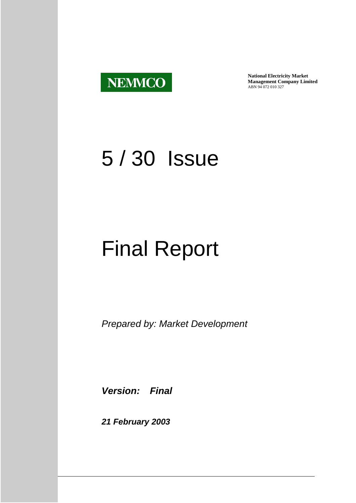

**National Electricity Market Management Company Limited** ABN 94 072 010 327

## 5 / 30 Issue

# Final Report

*Prepared by: Market Development*

*Version: Final* 

*21 February 2003*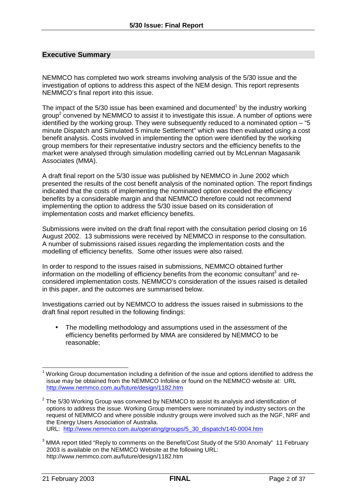#### **Executive Summary**

NEMMCO has completed two work streams involving analysis of the 5/30 issue and the investigation of options to address this aspect of the NEM design. This report represents NEMMCO's final report into this issue.

The impact of the 5/30 issue has been examined and documented<sup>1</sup> by the industry working group<sup>2</sup> convened by NEMMCO to assist it to investigate this issue. A number of options were identified by the working group. They were subsequently reduced to a nominated option – "5 minute Dispatch and Simulated 5 minute Settlement" which was then evaluated using a cost benefit analysis. Costs involved in implementing the option were identified by the working group members for their representative industry sectors and the efficiency benefits to the market were analysed through simulation modelling carried out by McLennan Magasanik Associates (MMA).

A draft final report on the 5/30 issue was published by NEMMCO in June 2002 which presented the results of the cost benefit analysis of the nominated option. The report findings indicated that the costs of implementing the nominated option exceeded the efficiency benefits by a considerable margin and that NEMMCO therefore could not recommend implementing the option to address the 5/30 issue based on its consideration of implementation costs and market efficiency benefits.

Submissions were invited on the draft final report with the consultation period closing on 16 August 2002. 13 submissions were received by NEMMCO in response to the consultation. A number of submissions raised issues regarding the implementation costs and the modelling of efficiency benefits. Some other issues were also raised.

In order to respond to the issues raised in submissions, NEMMCO obtained further information on the modelling of efficiency benefits from the economic consultant<sup>3</sup> and reconsidered implementation costs. NEMMCO's consideration of the issues raised is detailed in this paper, and the outcomes are summarised below.

Investigations carried out by NEMMCO to address the issues raised in submissions to the draft final report resulted in the following findings:

The modelling methodology and assumptions used in the assessment of the efficiency benefits performed by MMA are considered by NEMMCO to be reasonable;

 $\overline{\phantom{a}}$ 1 Working Group documentation including a definition of the issue and options identified to address the issue may be obtained from the NEMMCO Infoline or found on the NEMMCO website at: URL http://www.nemmco.com.au/future/design/1182.htm

 $2$  The 5/30 Working Group was convened by NEMMCO to assist its analysis and identification of options to address the issue. Working Group members were nominated by industry sectors on the request of NEMMCO and where possible industry groups were involved such as the NGF, NRF and the Energy Users Association of Australia.

URL: http://www.nemmco.com.au/operating/groups/5\_30\_dispatch/140-0004.htm

 $3$  MMA report titled "Reply to comments on the Benefit/Cost Study of the 5/30 Anomaly" 11 February 2003 is available on the NEMMCO Website at the following URL: http://www.nemmco.com.au/future/design/1182.htm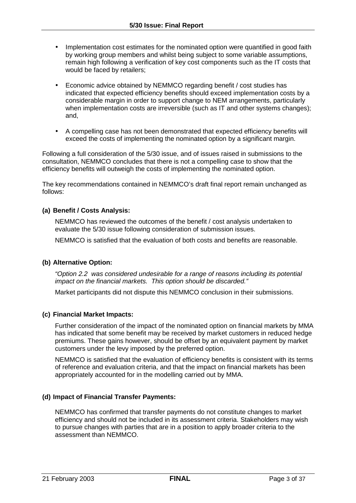- Implementation cost estimates for the nominated option were quantified in good faith by working group members and whilst being subject to some variable assumptions, remain high following a verification of key cost components such as the IT costs that would be faced by retailers;
- Economic advice obtained by NEMMCO regarding benefit / cost studies has indicated that expected efficiency benefits should exceed implementation costs by a considerable margin in order to support change to NEM arrangements, particularly when implementation costs are irreversible (such as IT and other systems changes); and,
- A compelling case has not been demonstrated that expected efficiency benefits will exceed the costs of implementing the nominated option by a significant margin.

Following a full consideration of the 5/30 issue, and of issues raised in submissions to the consultation, NEMMCO concludes that there is not a compelling case to show that the efficiency benefits will outweigh the costs of implementing the nominated option.

The key recommendations contained in NEMMCO's draft final report remain unchanged as follows:

#### **(a) Benefit / Costs Analysis:**

NEMMCO has reviewed the outcomes of the benefit / cost analysis undertaken to evaluate the 5/30 issue following consideration of submission issues.

NEMMCO is satisfied that the evaluation of both costs and benefits are reasonable.

#### **(b) Alternative Option:**

*"Option 2.2 was considered undesirable for a range of reasons including its potential impact on the financial markets. This option should be discarded."* 

Market participants did not dispute this NEMMCO conclusion in their submissions.

#### **(c) Financial Market Impacts:**

Further consideration of the impact of the nominated option on financial markets by MMA has indicated that some benefit may be received by market customers in reduced hedge premiums. These gains however, should be offset by an equivalent payment by market customers under the levy imposed by the preferred option.

NEMMCO is satisfied that the evaluation of efficiency benefits is consistent with its terms of reference and evaluation criteria, and that the impact on financial markets has been appropriately accounted for in the modelling carried out by MMA.

#### **(d) Impact of Financial Transfer Payments:**

NEMMCO has confirmed that transfer payments do not constitute changes to market efficiency and should not be included in its assessment criteria. Stakeholders may wish to pursue changes with parties that are in a position to apply broader criteria to the assessment than NEMMCO.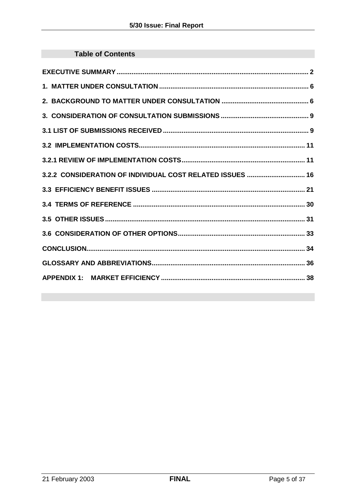| <b>Table of Contents</b>                                  |
|-----------------------------------------------------------|
|                                                           |
|                                                           |
|                                                           |
|                                                           |
|                                                           |
|                                                           |
|                                                           |
| 3.2.2 CONSIDERATION OF INDIVIDUAL COST RELATED ISSUES  16 |
|                                                           |
|                                                           |
|                                                           |
|                                                           |
|                                                           |
|                                                           |
|                                                           |
|                                                           |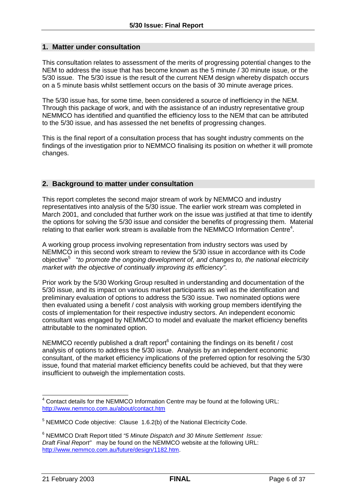#### **1. Matter under consultation**

This consultation relates to assessment of the merits of progressing potential changes to the NEM to address the issue that has become known as the 5 minute / 30 minute issue, or the 5/30 issue. The 5/30 issue is the result of the current NEM design whereby dispatch occurs on a 5 minute basis whilst settlement occurs on the basis of 30 minute average prices.

The 5/30 issue has, for some time, been considered a source of inefficiency in the NEM. Through this package of work, and with the assistance of an industry representative group NEMMCO has identified and quantified the efficiency loss to the NEM that can be attributed to the 5/30 issue, and has assessed the net benefits of progressing changes.

This is the final report of a consultation process that has sought industry comments on the findings of the investigation prior to NEMMCO finalising its position on whether it will promote changes.

#### **2. Background to matter under consultation**

This report completes the second major stream of work by NEMMCO and industry representatives into analysis of the 5/30 issue. The earlier work stream was completed in March 2001, and concluded that further work on the issue was justified at that time to identify the options for solving the 5/30 issue and consider the benefits of progressing them. Material relating to that earlier work stream is available from the NEMMCO Information Centre<sup>4</sup>.

A working group process involving representation from industry sectors was used by NEMMCO in this second work stream to review the 5/30 issue in accordance with its Code objective<sup>5</sup> "to promote the ongoing development of, and changes to, the national electricity *market with the objective of continually improving its efficiency"*.

Prior work by the 5/30 Working Group resulted in understanding and documentation of the 5/30 issue, and its impact on various market participants as well as the identification and preliminary evaluation of options to address the 5/30 issue. Two nominated options were then evaluated using a benefit / cost analysis with working group members identifying the costs of implementation for their respective industry sectors. An independent economic consultant was engaged by NEMMCO to model and evaluate the market efficiency benefits attributable to the nominated option.

NEMMCO recently published a draft report $6$  containing the findings on its benefit / cost analysis of options to address the 5/30 issue. Analysis by an independent economic consultant, of the market efficiency implications of the preferred option for resolving the 5/30 issue, found that material market efficiency benefits could be achieved, but that they were insufficient to outweigh the implementation costs.

  $4$  Contact details for the NEMMCO Information Centre may be found at the following URL: http://www.nemmco.com.au/about/contact.htm

 $5$  NEMMCO Code objective: Clause 1.6.2(b) of the National Electricity Code.

<sup>6</sup> NEMMCO Draft Report titled *"5 Minute Dispatch and 30 Minute Settlement Issue: Draft Final Report"* may be found on the NEMMCO website at the following URL: http://www.nemmco.com.au/future/design/1182.htm.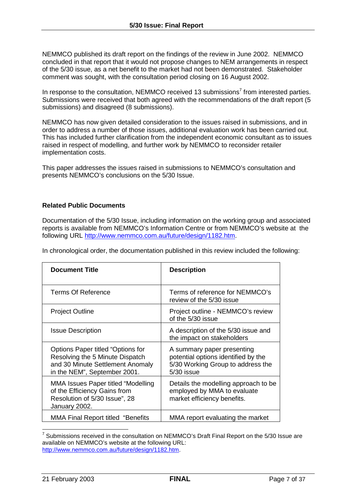NEMMCO published its draft report on the findings of the review in June 2002. NEMMCO concluded in that report that it would not propose changes to NEM arrangements in respect of the 5/30 issue, as a net benefit to the market had not been demonstrated. Stakeholder comment was sought, with the consultation period closing on 16 August 2002.

In response to the consultation, NEMMCO received 13 submissions<sup>7</sup> from interested parties. Submissions were received that both agreed with the recommendations of the draft report (5 submissions) and disagreed (8 submissions).

NEMMCO has now given detailed consideration to the issues raised in submissions, and in order to address a number of those issues, additional evaluation work has been carried out. This has included further clarification from the independent economic consultant as to issues raised in respect of modelling, and further work by NEMMCO to reconsider retailer implementation costs.

This paper addresses the issues raised in submissions to NEMMCO's consultation and presents NEMMCO's conclusions on the 5/30 Issue.

#### **Related Public Documents**

Documentation of the 5/30 Issue, including information on the working group and associated reports is available from NEMMCO's Information Centre or from NEMMCO's website at the following URL http://www.nemmco.com.au/future/design/1182.htm.

| <b>Document Title</b>                                                                                                                    | <b>Description</b>                                                                                                   |
|------------------------------------------------------------------------------------------------------------------------------------------|----------------------------------------------------------------------------------------------------------------------|
| <b>Terms Of Reference</b>                                                                                                                | Terms of reference for NEMMCO's<br>review of the 5/30 issue                                                          |
| <b>Project Outline</b>                                                                                                                   | Project outline - NEMMCO's review<br>of the 5/30 issue                                                               |
| <b>Issue Description</b>                                                                                                                 | A description of the 5/30 issue and<br>the impact on stakeholders                                                    |
| Options Paper titled "Options for<br>Resolving the 5 Minute Dispatch<br>and 30 Minute Settlement Anomaly<br>in the NEM", September 2001. | A summary paper presenting<br>potential options identified by the<br>5/30 Working Group to address the<br>5/30 issue |
| MMA Issues Paper titled "Modelling<br>of the Efficiency Gains from<br>Resolution of 5/30 Issue", 28<br>January 2002.                     | Details the modelling approach to be<br>employed by MMA to evaluate<br>market efficiency benefits.                   |
| <b>MMA Final Report titled "Benefits</b>                                                                                                 | MMA report evaluating the market                                                                                     |

In chronological order, the documentation published in this review included the following:

 $\overline{a}$  $^7$  Submissions received in the consultation on NEMMCO's Draft Final Report on the 5/30 Issue are available on NEMMCO's website at the following URL: http://www.nemmco.com.au/future/design/1182.htm.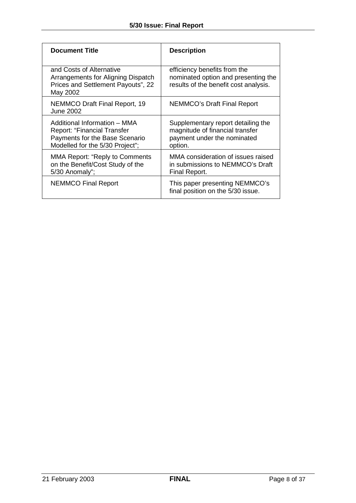| <b>Document Title</b>                                                                                                                   | <b>Description</b>                                                                                              |
|-----------------------------------------------------------------------------------------------------------------------------------------|-----------------------------------------------------------------------------------------------------------------|
| and Costs of Alternative<br>Arrangements for Aligning Dispatch<br>Prices and Settlement Payouts", 22<br>May 2002                        | efficiency benefits from the<br>nominated option and presenting the<br>results of the benefit cost analysis.    |
| <b>NEMMCO Draft Final Report, 19</b><br><b>June 2002</b>                                                                                | <b>NEMMCO's Draft Final Report</b>                                                                              |
| Additional Information - MMA<br><b>Report: "Financial Transfer</b><br>Payments for the Base Scenario<br>Modelled for the 5/30 Project"; | Supplementary report detailing the<br>magnitude of financial transfer<br>payment under the nominated<br>option. |
| <b>MMA Report: "Reply to Comments</b><br>on the Benefit/Cost Study of the<br>5/30 Anomaly";                                             | MMA consideration of issues raised<br>in submissions to NEMMCO's Draft<br>Final Report.                         |
| <b>NEMMCO Final Report</b>                                                                                                              | This paper presenting NEMMCO's<br>final position on the 5/30 issue.                                             |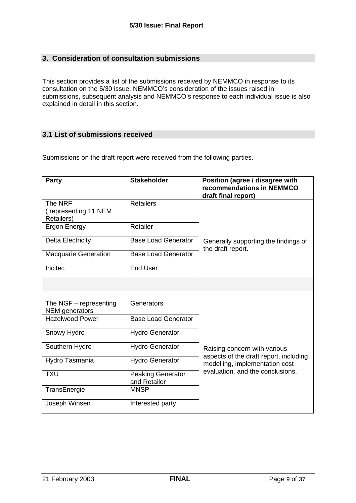## **3. Consideration of consultation submissions**

This section provides a list of the submissions received by NEMMCO in response to its consultation on the 5/30 issue. NEMMCO's consideration of the issues raised in submissions, subsequent analysis and NEMMCO's response to each individual issue is also explained in detail in this section.

## **3.1 List of submissions received**

Submissions on the draft report were received from the following parties.

| Party                                             | <b>Stakeholder</b>                       | Position (agree / disagree with<br>recommendations in NEMMCO<br>draft final report) |
|---------------------------------------------------|------------------------------------------|-------------------------------------------------------------------------------------|
| The NRF<br>(representing 11 NEM<br>Retailers)     | <b>Retailers</b>                         |                                                                                     |
| <b>Ergon Energy</b>                               | Retailer                                 |                                                                                     |
| <b>Delta Electricity</b>                          | <b>Base Load Generator</b>               | Generally supporting the findings of<br>the draft report.                           |
| <b>Macquarie Generation</b>                       | <b>Base Load Generator</b>               |                                                                                     |
| Incitec                                           | <b>End User</b>                          |                                                                                     |
|                                                   |                                          |                                                                                     |
| The $NGF$ – representing<br><b>NEM</b> generators | Generators                               |                                                                                     |
| <b>Hazelwood Power</b>                            | <b>Base Load Generator</b>               |                                                                                     |
| Snowy Hydro                                       | <b>Hydro Generator</b>                   |                                                                                     |
| Southern Hydro                                    | <b>Hydro Generator</b>                   | Raising concern with various                                                        |
| Hydro Tasmania                                    | <b>Hydro Generator</b>                   | aspects of the draft report, including<br>modelling, implementation cost            |
| <b>TXU</b>                                        | <b>Peaking Generator</b><br>and Retailer | evaluation, and the conclusions.                                                    |
| TransEnergie                                      | <b>MNSP</b>                              |                                                                                     |
| Joseph Winsen                                     | Interested party                         |                                                                                     |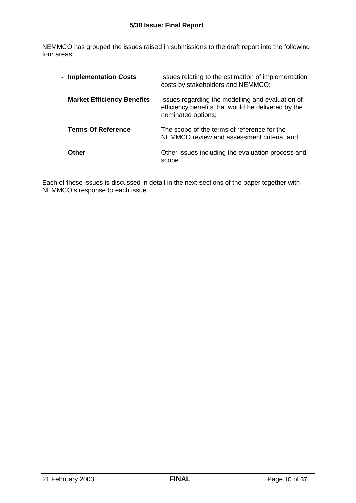NEMMCO has grouped the issues raised in submissions to the draft report into the following four areas:

| - Implementation Costs       | Issues relating to the estimation of implementation<br>costs by stakeholders and NEMMCO;                                     |
|------------------------------|------------------------------------------------------------------------------------------------------------------------------|
| - Market Efficiency Benefits | Issues regarding the modelling and evaluation of<br>efficiency benefits that would be delivered by the<br>nominated options; |
| - Terms Of Reference         | The scope of the terms of reference for the<br>NEMMCO review and assessment criteria; and                                    |
| - Other                      | Other issues including the evaluation process and<br>scope.                                                                  |

Each of these issues is discussed in detail in the next sections of the paper together with NEMMCO's response to each issue.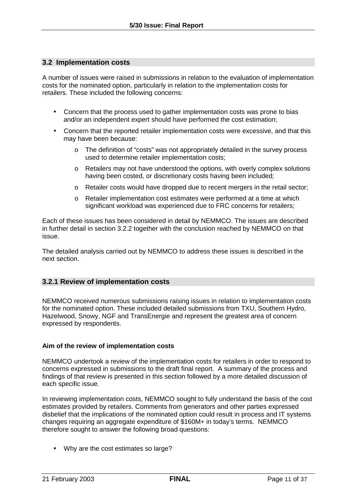#### **3.2 Implementation costs**

A number of issues were raised in submissions in relation to the evaluation of implementation costs for the nominated option, particularly in relation to the implementation costs for retailers. These included the following concerns:

- Concern that the process used to gather implementation costs was prone to bias and/or an independent expert should have performed the cost estimation;
- Concern that the reported retailer implementation costs were excessive, and that this may have been because:
	- o The definition of "costs" was not appropriately detailed in the survey process used to determine retailer implementation costs;
	- o Retailers may not have understood the options, with overly complex solutions having been costed, or discretionary costs having been included;
	- o Retailer costs would have dropped due to recent mergers in the retail sector;
	- o Retailer implementation cost estimates were performed at a time at which significant workload was experienced due to FRC concerns for retailers;

Each of these issues has been considered in detail by NEMMCO. The issues are described in further detail in section 3.2.2 together with the conclusion reached by NEMMCO on that issue.

The detailed analysis carried out by NEMMCO to address these issues is described in the next section.

#### **3.2.1 Review of implementation costs**

NEMMCO received numerous submissions raising issues in relation to implementation costs for the nominated option. These included detailed submissions from TXU, Southern Hydro, Hazelwood, Snowy, NGF and TransEnergie and represent the greatest area of concern expressed by respondents.

#### **Aim of the review of implementation costs**

NEMMCO undertook a review of the implementation costs for retailers in order to respond to concerns expressed in submissions to the draft final report. A summary of the process and findings of that review is presented in this section followed by a more detailed discussion of each specific issue.

In reviewing implementation costs, NEMMCO sought to fully understand the basis of the cost estimates provided by retailers. Comments from generators and other parties expressed disbelief that the implications of the nominated option could result in process and IT systems changes requiring an aggregate expenditure of \$160M+ in today's terms. NEMMCO therefore sought to answer the following broad questions:

• Why are the cost estimates so large?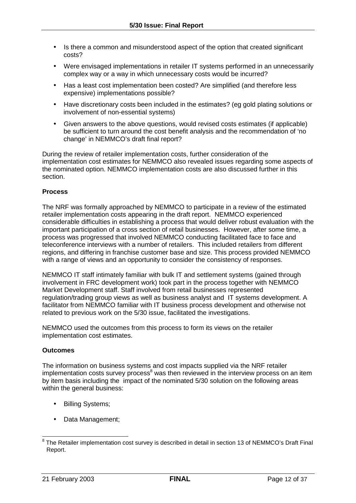- Is there a common and misunderstood aspect of the option that created significant costs?
- Were envisaged implementations in retailer IT systems performed in an unnecessarily complex way or a way in which unnecessary costs would be incurred?
- Has a least cost implementation been costed? Are simplified (and therefore less expensive) implementations possible?
- Have discretionary costs been included in the estimates? (eg gold plating solutions or involvement of non-essential systems)
- Given answers to the above questions, would revised costs estimates (if applicable) be sufficient to turn around the cost benefit analysis and the recommendation of 'no change' in NEMMCO's draft final report?

During the review of retailer implementation costs, further consideration of the implementation cost estimates for NEMMCO also revealed issues regarding some aspects of the nominated option. NEMMCO implementation costs are also discussed further in this section.

#### **Process**

The NRF was formally approached by NEMMCO to participate in a review of the estimated retailer implementation costs appearing in the draft report. NEMMCO experienced considerable difficulties in establishing a process that would deliver robust evaluation with the important participation of a cross section of retail businesses. However, after some time, a process was progressed that involved NEMMCO conducting facilitated face to face and teleconference interviews with a number of retailers. This included retailers from different regions, and differing in franchise customer base and size. This process provided NEMMCO with a range of views and an opportunity to consider the consistency of responses.

NEMMCO IT staff intimately familiar with bulk IT and settlement systems (gained through involvement in FRC development work) took part in the process together with NEMMCO Market Development staff. Staff involved from retail businesses represented regulation/trading group views as well as business analyst and IT systems development. A facilitator from NEMMCO familiar with IT business process development and otherwise not related to previous work on the 5/30 issue, facilitated the investigations.

NEMMCO used the outcomes from this process to form its views on the retailer implementation cost estimates.

#### **Outcomes**

The information on business systems and cost impacts supplied via the NRF retailer implementation costs survey process<sup>8</sup> was then reviewed in the interview process on an item by item basis including the impact of the nominated 5/30 solution on the following areas within the general business:

- Billing Systems;
- Data Management;

 8 The Retailer implementation cost survey is described in detail in section 13 of NEMMCO's Draft Final Report.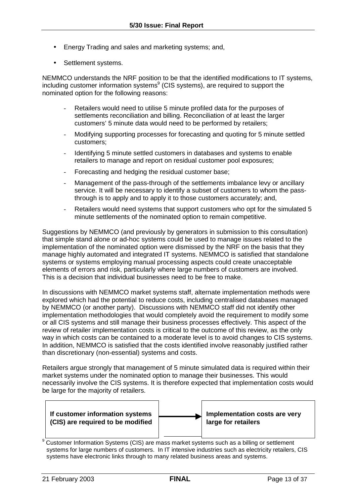- Energy Trading and sales and marketing systems; and,
- Settlement systems.

NEMMCO understands the NRF position to be that the identified modifications to IT systems, including customer information systems ${}^{9}$  (CIS systems), are required to support the nominated option for the following reasons:

- Retailers would need to utilise 5 minute profiled data for the purposes of settlements reconciliation and billing. Reconciliation of at least the larger customers' 5 minute data would need to be performed by retailers;
- Modifying supporting processes for forecasting and quoting for 5 minute settled customers;
- Identifying 5 minute settled customers in databases and systems to enable retailers to manage and report on residual customer pool exposures;
- Forecasting and hedging the residual customer base;
- Management of the pass-through of the settlements imbalance levy or ancillary service. It will be necessary to identify a subset of customers to whom the passthrough is to apply and to apply it to those customers accurately; and,
- Retailers would need systems that support customers who opt for the simulated 5 minute settlements of the nominated option to remain competitive.

Suggestions by NEMMCO (and previously by generators in submission to this consultation) that simple stand alone or ad-hoc systems could be used to manage issues related to the implementation of the nominated option were dismissed by the NRF on the basis that they manage highly automated and integrated IT systems. NEMMCO is satisfied that standalone systems or systems employing manual processing aspects could create unacceptable elements of errors and risk, particularly where large numbers of customers are involved. This is a decision that individual businesses need to be free to make.

In discussions with NEMMCO market systems staff, alternate implementation methods were explored which had the potential to reduce costs, including centralised databases managed by NEMMCO (or another party). Discussions with NEMMCO staff did not identify other implementation methodologies that would completely avoid the requirement to modify some or all CIS systems and still manage their business processes effectively. This aspect of the review of retailer implementation costs is critical to the outcome of this review, as the only way in which costs can be contained to a moderate level is to avoid changes to CIS systems. In addition, NEMMCO is satisfied that the costs identified involve reasonably justified rather than discretionary (non-essential) systems and costs.

Retailers argue strongly that management of 5 minute simulated data is required within their market systems under the nominated option to manage their businesses. This would necessarily involve the CIS systems. It is therefore expected that implementation costs would be large for the majority of retailers.



systems for large numbers of customers. In IT intensive industries such as electricity retailers, CIS systems have electronic links through to many related business areas and systems.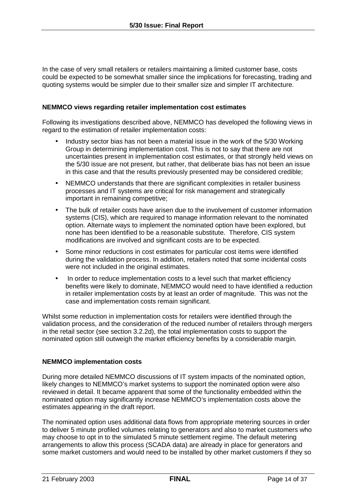In the case of very small retailers or retailers maintaining a limited customer base, costs could be expected to be somewhat smaller since the implications for forecasting, trading and quoting systems would be simpler due to their smaller size and simpler IT architecture.

#### **NEMMCO views regarding retailer implementation cost estimates**

Following its investigations described above, NEMMCO has developed the following views in regard to the estimation of retailer implementation costs:

- Industry sector bias has not been a material issue in the work of the 5/30 Working Group in determining implementation cost. This is not to say that there are not uncertainties present in implementation cost estimates, or that strongly held views on the 5/30 issue are not present, but rather, that deliberate bias has not been an issue in this case and that the results previously presented may be considered credible;
- NEMMCO understands that there are significant complexities in retailer business processes and IT systems are critical for risk management and strategically important in remaining competitive;
- The bulk of retailer costs have arisen due to the involvement of customer information systems (CIS), which are required to manage information relevant to the nominated option. Alternate ways to implement the nominated option have been explored, but none has been identified to be a reasonable substitute. Therefore, CIS system modifications are involved and significant costs are to be expected.
- Some minor reductions in cost estimates for particular cost items were identified during the validation process. In addition, retailers noted that some incidental costs were not included in the original estimates.
- In order to reduce implementation costs to a level such that market efficiency benefits were likely to dominate, NEMMCO would need to have identified a reduction in retailer implementation costs by at least an order of magnitude. This was not the case and implementation costs remain significant.

Whilst some reduction in implementation costs for retailers were identified through the validation process, and the consideration of the reduced number of retailers through mergers in the retail sector (see section 3.2.2d), the total implementation costs to support the nominated option still outweigh the market efficiency benefits by a considerable margin.

#### **NEMMCO implementation costs**

During more detailed NEMMCO discussions of IT system impacts of the nominated option, likely changes to NEMMCO's market systems to support the nominated option were also reviewed in detail. It became apparent that some of the functionality embedded within the nominated option may significantly increase NEMMCO's implementation costs above the estimates appearing in the draft report.

The nominated option uses additional data flows from appropriate metering sources in order to deliver 5 minute profiled volumes relating to generators and also to market customers who may choose to opt in to the simulated 5 minute settlement regime. The default metering arrangements to allow this process (SCADA data) are already in place for generators and some market customers and would need to be installed by other market customers if they so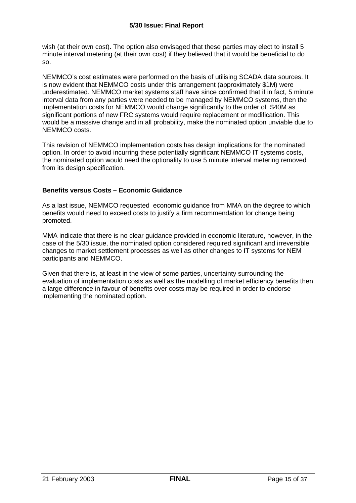wish (at their own cost). The option also envisaged that these parties may elect to install 5 minute interval metering (at their own cost) if they believed that it would be beneficial to do so.

NEMMCO's cost estimates were performed on the basis of utilising SCADA data sources. It is now evident that NEMMCO costs under this arrangement (approximately \$1M) were underestimated. NEMMCO market systems staff have since confirmed that if in fact, 5 minute interval data from any parties were needed to be managed by NEMMCO systems, then the implementation costs for NEMMCO would change significantly to the order of \$40M as significant portions of new FRC systems would require replacement or modification. This would be a massive change and in all probability, make the nominated option unviable due to NEMMCO costs.

This revision of NEMMCO implementation costs has design implications for the nominated option. In order to avoid incurring these potentially significant NEMMCO IT systems costs, the nominated option would need the optionality to use 5 minute interval metering removed from its design specification.

#### **Benefits versus Costs – Economic Guidance**

As a last issue, NEMMCO requested economic guidance from MMA on the degree to which benefits would need to exceed costs to justify a firm recommendation for change being promoted.

MMA indicate that there is no clear guidance provided in economic literature, however, in the case of the 5/30 issue, the nominated option considered required significant and irreversible changes to market settlement processes as well as other changes to IT systems for NEM participants and NEMMCO.

Given that there is, at least in the view of some parties, uncertainty surrounding the evaluation of implementation costs as well as the modelling of market efficiency benefits then a large difference in favour of benefits over costs may be required in order to endorse implementing the nominated option.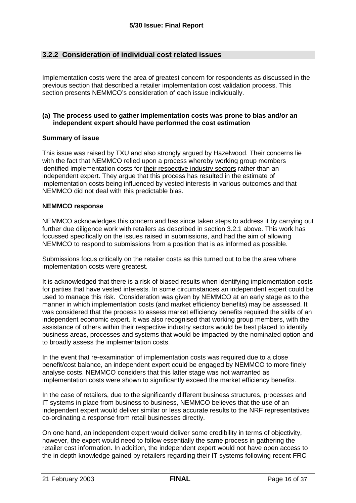## **3.2.2 Consideration of individual cost related issues**

Implementation costs were the area of greatest concern for respondents as discussed in the previous section that described a retailer implementation cost validation process. This section presents NEMMCO's consideration of each issue individually.

#### **(a) The process used to gather implementation costs was prone to bias and/or an independent expert should have performed the cost estimation**

#### **Summary of issue**

This issue was raised by TXU and also strongly argued by Hazelwood. Their concerns lie with the fact that NEMMCO relied upon a process whereby working group members identified implementation costs for their respective industry sectors rather than an independent expert. They argue that this process has resulted in the estimate of implementation costs being influenced by vested interests in various outcomes and that NEMMCO did not deal with this predictable bias.

#### **NEMMCO response**

NEMMCO acknowledges this concern and has since taken steps to address it by carrying out further due diligence work with retailers as described in section 3.2.1 above. This work has focussed specifically on the issues raised in submissions, and had the aim of allowing NEMMCO to respond to submissions from a position that is as informed as possible.

Submissions focus critically on the retailer costs as this turned out to be the area where implementation costs were greatest.

It is acknowledged that there is a risk of biased results when identifying implementation costs for parties that have vested interests. In some circumstances an independent expert could be used to manage this risk. Consideration was given by NEMMCO at an early stage as to the manner in which implementation costs (and market efficiency benefits) may be assessed. It was considered that the process to assess market efficiency benefits required the skills of an independent economic expert. It was also recognised that working group members, with the assistance of others within their respective industry sectors would be best placed to identify business areas, processes and systems that would be impacted by the nominated option and to broadly assess the implementation costs.

In the event that re-examination of implementation costs was required due to a close benefit/cost balance, an independent expert could be engaged by NEMMCO to more finely analyse costs. NEMMCO considers that this latter stage was not warranted as implementation costs were shown to significantly exceed the market efficiency benefits.

In the case of retailers, due to the significantly different business structures, processes and IT systems in place from business to business, NEMMCO believes that the use of an independent expert would deliver similar or less accurate results to the NRF representatives co-ordinating a response from retail businesses directly.

On one hand, an independent expert would deliver some credibility in terms of objectivity, however, the expert would need to follow essentially the same process in gathering the retailer cost information. In addition, the independent expert would not have open access to the in depth knowledge gained by retailers regarding their IT systems following recent FRC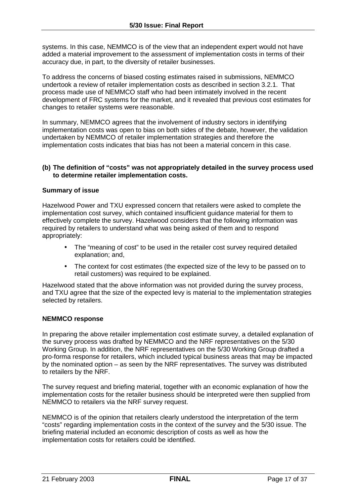systems. In this case, NEMMCO is of the view that an independent expert would not have added a material improvement to the assessment of implementation costs in terms of their accuracy due, in part, to the diversity of retailer businesses.

To address the concerns of biased costing estimates raised in submissions, NEMMCO undertook a review of retailer implementation costs as described in section 3.2.1. That process made use of NEMMCO staff who had been intimately involved in the recent development of FRC systems for the market, and it revealed that previous cost estimates for changes to retailer systems were reasonable.

In summary, NEMMCO agrees that the involvement of industry sectors in identifying implementation costs was open to bias on both sides of the debate, however, the validation undertaken by NEMMCO of retailer implementation strategies and therefore the implementation costs indicates that bias has not been a material concern in this case.

#### **(b) The definition of "costs" was not appropriately detailed in the survey process used to determine retailer implementation costs.**

#### **Summary of issue**

Hazelwood Power and TXU expressed concern that retailers were asked to complete the implementation cost survey, which contained insufficient guidance material for them to effectively complete the survey. Hazelwood considers that the following information was required by retailers to understand what was being asked of them and to respond appropriately:

- The "meaning of cost" to be used in the retailer cost survey required detailed explanation; and,
- The context for cost estimates (the expected size of the levy to be passed on to retail customers) was required to be explained.

Hazelwood stated that the above information was not provided during the survey process, and TXU agree that the size of the expected levy is material to the implementation strategies selected by retailers.

#### **NEMMCO response**

In preparing the above retailer implementation cost estimate survey, a detailed explanation of the survey process was drafted by NEMMCO and the NRF representatives on the 5/30 Working Group. In addition, the NRF representatives on the 5/30 Working Group drafted a pro-forma response for retailers, which included typical business areas that may be impacted by the nominated option – as seen by the NRF representatives. The survey was distributed to retailers by the NRF.

The survey request and briefing material, together with an economic explanation of how the implementation costs for the retailer business should be interpreted were then supplied from NEMMCO to retailers via the NRF survey request.

NEMMCO is of the opinion that retailers clearly understood the interpretation of the term "costs" regarding implementation costs in the context of the survey and the 5/30 issue. The briefing material included an economic description of costs as well as how the implementation costs for retailers could be identified.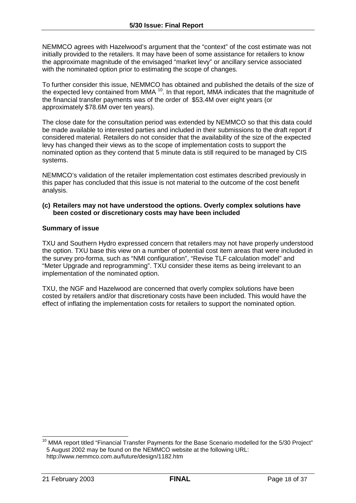NEMMCO agrees with Hazelwood's argument that the "context" of the cost estimate was not initially provided to the retailers. It may have been of some assistance for retailers to know the approximate magnitude of the envisaged "market levy" or ancillary service associated with the nominated option prior to estimating the scope of changes.

To further consider this issue, NEMMCO has obtained and published the details of the size of the expected levy contained from MMA  $10$ . In that report, MMA indicates that the magnitude of the financial transfer payments was of the order of \$53.4M over eight years (or approximately \$78.6M over ten years).

The close date for the consultation period was extended by NEMMCO so that this data could be made available to interested parties and included in their submissions to the draft report if considered material. Retailers do not consider that the availability of the size of the expected levy has changed their views as to the scope of implementation costs to support the nominated option as they contend that 5 minute data is still required to be managed by CIS systems.

NEMMCO's validation of the retailer implementation cost estimates described previously in this paper has concluded that this issue is not material to the outcome of the cost benefit analysis.

#### **(c) Retailers may not have understood the options. Overly complex solutions have been costed or discretionary costs may have been included**

#### **Summary of issue**

TXU and Southern Hydro expressed concern that retailers may not have properly understood the option. TXU base this view on a number of potential cost item areas that were included in the survey pro-forma, such as "NMI configuration", "Revise TLF calculation model" and "Meter Upgrade and reprogramming". TXU consider these items as being irrelevant to an implementation of the nominated option.

TXU, the NGF and Hazelwood are concerned that overly complex solutions have been costed by retailers and/or that discretionary costs have been included. This would have the effect of inflating the implementation costs for retailers to support the nominated option.

 $\overline{\phantom{a}}$  $10$  MMA report titled "Financial Transfer Payments for the Base Scenario modelled for the 5/30 Project" 5 August 2002 may be found on the NEMMCO website at the following URL: http://www.nemmco.com.au/future/design/1182.htm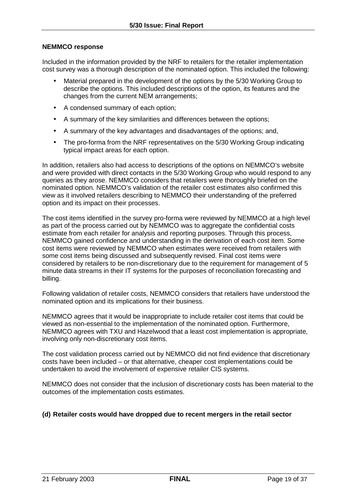#### **NEMMCO response**

Included in the information provided by the NRF to retailers for the retailer implementation cost survey was a thorough description of the nominated option. This included the following:

- Material prepared in the development of the options by the 5/30 Working Group to describe the options. This included descriptions of the option, its features and the changes from the current NEM arrangements;
- A condensed summary of each option;
- A summary of the key similarities and differences between the options;
- A summary of the key advantages and disadvantages of the options; and,
- The pro-forma from the NRF representatives on the 5/30 Working Group indicating typical impact areas for each option.

In addition, retailers also had access to descriptions of the options on NEMMCO's website and were provided with direct contacts in the 5/30 Working Group who would respond to any queries as they arose. NEMMCO considers that retailers were thoroughly briefed on the nominated option. NEMMCO's validation of the retailer cost estimates also confirmed this view as it involved retailers describing to NEMMCO their understanding of the preferred option and its impact on their processes.

The cost items identified in the survey pro-forma were reviewed by NEMMCO at a high level as part of the process carried out by NEMMCO was to aggregate the confidential costs estimate from each retailer for analysis and reporting purposes. Through this process, NEMMCO gained confidence and understanding in the derivation of each cost item. Some cost items were reviewed by NEMMCO when estimates were received from retailers with some cost items being discussed and subsequently revised. Final cost items were considered by retailers to be non-discretionary due to the requirement for management of 5 minute data streams in their IT systems for the purposes of reconciliation forecasting and billing.

Following validation of retailer costs, NEMMCO considers that retailers have understood the nominated option and its implications for their business.

NEMMCO agrees that it would be inappropriate to include retailer cost items that could be viewed as non-essential to the implementation of the nominated option. Furthermore, NEMMCO agrees with TXU and Hazelwood that a least cost implementation is appropriate, involving only non-discretionary cost items.

The cost validation process carried out by NEMMCO did not find evidence that discretionary costs have been included – or that alternative, cheaper cost implementations could be undertaken to avoid the involvement of expensive retailer CIS systems.

NEMMCO does not consider that the inclusion of discretionary costs has been material to the outcomes of the implementation costs estimates.

#### **(d) Retailer costs would have dropped due to recent mergers in the retail sector**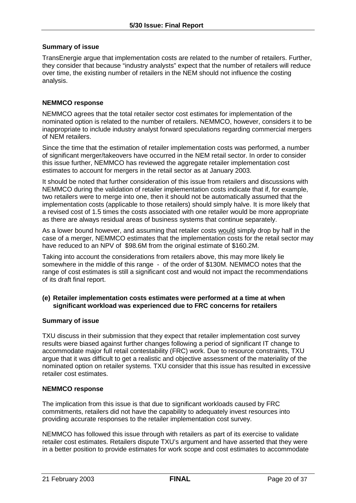#### **Summary of issue**

TransEnergie argue that implementation costs are related to the number of retailers. Further, they consider that because "industry analysts" expect that the number of retailers will reduce over time, the existing number of retailers in the NEM should not influence the costing analysis.

#### **NEMMCO response**

NEMMCO agrees that the total retailer sector cost estimates for implementation of the nominated option is related to the number of retailers. NEMMCO, however, considers it to be inappropriate to include industry analyst forward speculations regarding commercial mergers of NEM retailers.

Since the time that the estimation of retailer implementation costs was performed, a number of significant merger/takeovers have occurred in the NEM retail sector. In order to consider this issue further, NEMMCO has reviewed the aggregate retailer implementation cost estimates to account for mergers in the retail sector as at January 2003.

It should be noted that further consideration of this issue from retailers and discussions with NEMMCO during the validation of retailer implementation costs indicate that if, for example, two retailers were to merge into one, then it should not be automatically assumed that the implementation costs (applicable to those retailers) should simply halve. It is more likely that a revised cost of 1.5 times the costs associated with one retailer would be more appropriate as there are always residual areas of business systems that continue separately.

As a lower bound however, and assuming that retailer costs would simply drop by half in the case of a merger, NEMMCO estimates that the implementation costs for the retail sector may have reduced to an NPV of \$98.6M from the original estimate of \$160.2M.

Taking into account the considerations from retailers above, this may more likely lie somewhere in the middle of this range - of the order of \$130M. NEMMCO notes that the range of cost estimates is still a significant cost and would not impact the recommendations of its draft final report.

#### **(e) Retailer implementation costs estimates were performed at a time at when significant workload was experienced due to FRC concerns for retailers**

#### **Summary of issue**

TXU discuss in their submission that they expect that retailer implementation cost survey results were biased against further changes following a period of significant IT change to accommodate major full retail contestability (FRC) work. Due to resource constraints, TXU argue that it was difficult to get a realistic and objective assessment of the materiality of the nominated option on retailer systems. TXU consider that this issue has resulted in excessive retailer cost estimates.

#### **NEMMCO response**

The implication from this issue is that due to significant workloads caused by FRC commitments, retailers did not have the capability to adequately invest resources into providing accurate responses to the retailer implementation cost survey.

NEMMCO has followed this issue through with retailers as part of its exercise to validate retailer cost estimates. Retailers dispute TXU's argument and have asserted that they were in a better position to provide estimates for work scope and cost estimates to accommodate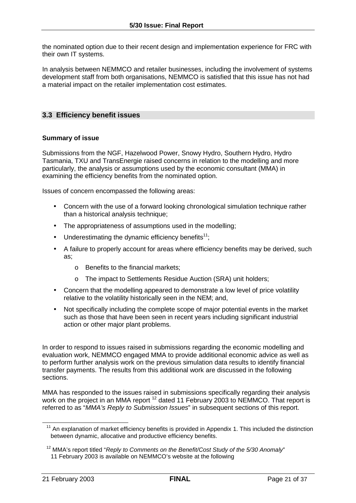the nominated option due to their recent design and implementation experience for FRC with their own IT systems.

In analysis between NEMMCO and retailer businesses, including the involvement of systems development staff from both organisations, NEMMCO is satisfied that this issue has not had a material impact on the retailer implementation cost estimates.

## **3.3 Efficiency benefit issues**

#### **Summary of issue**

Submissions from the NGF, Hazelwood Power, Snowy Hydro, Southern Hydro, Hydro Tasmania, TXU and TransEnergie raised concerns in relation to the modelling and more particularly, the analysis or assumptions used by the economic consultant (MMA) in examining the efficiency benefits from the nominated option.

Issues of concern encompassed the following areas:

- Concern with the use of a forward looking chronological simulation technique rather than a historical analysis technique;
- The appropriateness of assumptions used in the modelling;
- Underestimating the dynamic efficiency benefits<sup>11</sup>;
- A failure to properly account for areas where efficiency benefits may be derived, such as;
	- o Benefits to the financial markets;
	- o The impact to Settlements Residue Auction (SRA) unit holders;
- Concern that the modelling appeared to demonstrate a low level of price volatility relative to the volatility historically seen in the NEM; and,
- Not specifically including the complete scope of major potential events in the market such as those that have been seen in recent years including significant industrial action or other major plant problems.

In order to respond to issues raised in submissions regarding the economic modelling and evaluation work, NEMMCO engaged MMA to provide additional economic advice as well as to perform further analysis work on the previous simulation data results to identify financial transfer payments. The results from this additional work are discussed in the following sections.

MMA has responded to the issues raised in submissions specifically regarding their analysis work on the project in an MMA report <sup>12</sup> dated 11 February 2003 to NEMMCO. That report is referred to as "*MMA's Reply to Submission Issues*" in subsequent sections of this report.

 $11$  An explanation of market efficiency benefits is provided in Appendix 1. This included the distinction between dynamic, allocative and productive efficiency benefits.

<sup>&</sup>lt;sup>12</sup> MMA's report titled "*Reply to Comments on the Benefit/Cost Study of the 5/30 Anomaly*" 11 February 2003 is available on NEMMCO's website at the following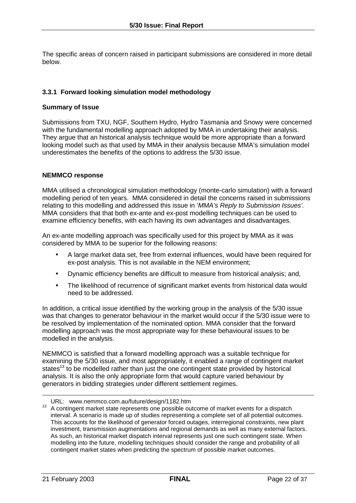The specific areas of concern raised in participant submissions are considered in more detail below.

## **3.3.1 Forward looking simulation model methodology**

#### **Summary of Issue**

Submissions from TXU, NGF, Southern Hydro, Hydro Tasmania and Snowy were concerned with the fundamental modelling approach adopted by MMA in undertaking their analysis. They argue that an historical analysis technique would be more appropriate than a forward looking model such as that used by MMA in their analysis because MMA's simulation model underestimates the benefits of the options to address the 5/30 issue.

#### **NEMMCO response**

MMA utilised a chronological simulation methodology (monte-carlo simulation) with a forward modelling period of ten years. MMA considered in detail the concerns raised in submissions relating to this modelling and addressed this issue in '*MMA's Reply to Submission Issues'.* MMA considers that that both ex-ante and ex-post modelling techniques can be used to examine efficiency benefits, with each having its own advantages and disadvantages.

An ex-ante modelling approach was specifically used for this project by MMA as it was considered by MMA to be superior for the following reasons:

- A large market data set, free from external influences, would have been required for ex-post analysis. This is not available in the NEM environment;
- Dynamic efficiency benefits are difficult to measure from historical analysis; and,
- The likelihood of recurrence of significant market events from historical data would need to be addressed.

In addition, a critical issue identified by the working group in the analysis of the 5/30 issue was that changes to generator behaviour in the market would occur if the 5/30 issue were to be resolved by implementation of the nominated option. MMA consider that the forward modelling approach was the most appropriate way for these behavioural issues to be modelled in the analysis.

NEMMCO is satisfied that a forward modelling approach was a suitable technique for examining the 5/30 issue, and most appropriately, it enabled a range of contingent market states<sup>13</sup> to be modelled rather than just the one contingent state provided by historical analysis. It is also the only appropriate form that would capture varied behaviour by generators in bidding strategies under different settlement regimes.

URL: www.nemmco.com.au/future/design/1182.htm<br><sup>13</sup> A contingent market state represents one possible outcome of market events for a dispatch interval. A scenario is made up of studies representing a complete set of all potential outcomes. This accounts for the likelihood of generator forced outages, interregional constraints, new plant investment, transmission augmentations and regional demands as well as many external factors. As such, an historical market dispatch interval represents just one such contingent state. When modelling into the future, modelling techniques should consider the range and probability of all contingent market states when predicting the spectrum of possible market outcomes.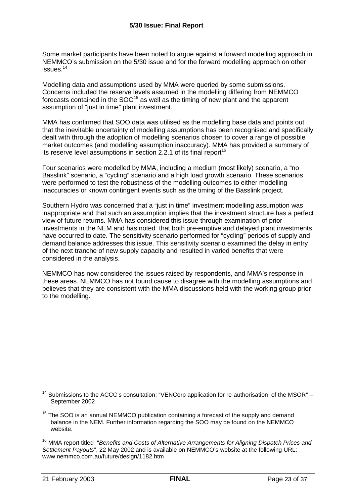Some market participants have been noted to argue against a forward modelling approach in NEMMCO's submission on the 5/30 issue and for the forward modelling approach on other issues.14

Modelling data and assumptions used by MMA were queried by some submissions. Concerns included the reserve levels assumed in the modelling differing from NEMMCO forecasts contained in the  $SOO<sup>15</sup>$  as well as the timing of new plant and the apparent assumption of "just in time" plant investment.

MMA has confirmed that SOO data was utilised as the modelling base data and points out that the inevitable uncertainty of modelling assumptions has been recognised and specifically dealt with through the adoption of modelling scenarios chosen to cover a range of possible market outcomes (and modelling assumption inaccuracy). MMA has provided a summary of its reserve level assumptions in section 2.2.1 of its final report<sup>16</sup>.

Four scenarios were modelled by MMA, including a medium (most likely) scenario, a "no Basslink" scenario, a "cycling" scenario and a high load growth scenario. These scenarios were performed to test the robustness of the modelling outcomes to either modelling inaccuracies or known contingent events such as the timing of the Basslink project.

Southern Hydro was concerned that a "just in time" investment modelling assumption was inappropriate and that such an assumption implies that the investment structure has a perfect view of future returns. MMA has considered this issue through examination of prior investments in the NEM and has noted that both pre-emptive and delayed plant investments have occurred to date. The sensitivity scenario performed for "cycling" periods of supply and demand balance addresses this issue. This sensitivity scenario examined the delay in entry of the next tranche of new supply capacity and resulted in varied benefits that were considered in the analysis.

NEMMCO has now considered the issues raised by respondents, and MMA's response in these areas. NEMMCO has not found cause to disagree with the modelling assumptions and believes that they are consistent with the MMA discussions held with the working group prior to the modelling.

 $\overline{\phantom{a}}$ <sup>14</sup> Submissions to the ACCC's consultation: "VENCorp application for re-authorisation of the MSOR" – September 2002

 $15$  The SOO is an annual NEMMCO publication containing a forecast of the supply and demand balance in the NEM. Further information regarding the SOO may be found on the NEMMCO website.

<sup>16</sup> MMA report titled "*Benefits and Costs of Alternative Arrangements for Aligning Dispatch Prices and Settlement Payouts*", 22 May 2002 and is available on NEMMCO's website at the following URL: www.nemmco.com.au/future/design/1182.htm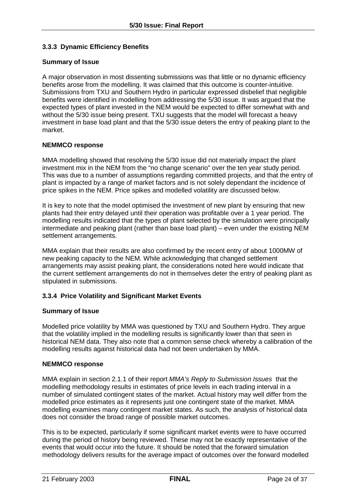## **3.3.3 Dynamic Efficiency Benefits**

#### **Summary of Issue**

A major observation in most dissenting submissions was that little or no dynamic efficiency benefits arose from the modelling. It was claimed that this outcome is counter-intuitive. Submissions from TXU and Southern Hydro in particular expressed disbelief that negligible benefits were identified in modelling from addressing the 5/30 issue. It was argued that the expected types of plant invested in the NEM would be expected to differ somewhat with and without the 5/30 issue being present. TXU suggests that the model will forecast a heavy investment in base load plant and that the 5/30 issue deters the entry of peaking plant to the market.

#### **NEMMCO response**

MMA modelling showed that resolving the 5/30 issue did not materially impact the plant investment mix in the NEM from the "no change scenario" over the ten year study period. This was due to a number of assumptions regarding committed projects, and that the entry of plant is impacted by a range of market factors and is not solely dependant the incidence of price spikes in the NEM. Price spikes and modelled volatility are discussed below.

It is key to note that the model optimised the investment of new plant by ensuring that new plants had their entry delayed until their operation was profitable over a 1 year period. The modelling results indicated that the types of plant selected by the simulation were principally intermediate and peaking plant (rather than base load plant) – even under the existing NEM settlement arrangements.

MMA explain that their results are also confirmed by the recent entry of about 1000MW of new peaking capacity to the NEM. While acknowledging that changed settlement arrangements may assist peaking plant, the considerations noted here would indicate that the current settlement arrangements do not in themselves deter the entry of peaking plant as stipulated in submissions.

#### **3.3.4 Price Volatility and Significant Market Events**

#### **Summary of Issue**

Modelled price volatility by MMA was questioned by TXU and Southern Hydro. They argue that the volatility implied in the modelling results is significantly lower than that seen in historical NEM data. They also note that a common sense check whereby a calibration of the modelling results against historical data had not been undertaken by MMA.

#### **NEMMCO response**

MMA explain in section 2.1.1 of their report *MMA's Reply to Submission Issues* that the modelling methodology results in estimates of price levels in each trading interval in a number of simulated contingent states of the market. Actual history may well differ from the modelled price estimates as it represents just one contingent state of the market. MMA modelling examines many contingent market states. As such, the analysis of historical data does not consider the broad range of possible market outcomes.

This is to be expected, particularly if some significant market events were to have occurred during the period of history being reviewed. These may not be exactly representative of the events that would occur into the future. It should be noted that the forward simulation methodology delivers results for the average impact of outcomes over the forward modelled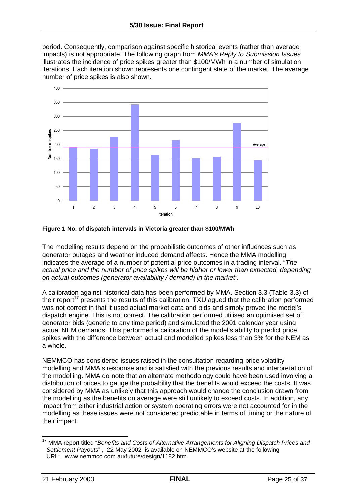period. Consequently, comparison against specific historical events (rather than average impacts) is not appropriate. The following graph from *MMA's Reply to Submission Issues* illustrates the incidence of price spikes greater than \$100/MWh in a number of simulation iterations. Each iteration shown represents one contingent state of the market. The average number of price spikes is also shown.



#### **Figure 1 No. of dispatch intervals in Victoria greater than \$100/MWh**

The modelling results depend on the probabilistic outcomes of other influences such as generator outages and weather induced demand affects. Hence the MMA modelling indicates the average of a number of potential price outcomes in a trading interval. "*The actual price and the number of price spikes will be higher or lower than expected, depending on actual outcomes (generator availability / demand) in the market".* 

A calibration against historical data has been performed by MMA. Section 3.3 (Table 3.3) of their report<sup>17</sup> presents the results of this calibration. TXU agued that the calibration performed was not correct in that it used actual market data and bids and simply proved the model's dispatch engine. This is not correct. The calibration performed utilised an optimised set of generator bids (generic to any time period) and simulated the 2001 calendar year using actual NEM demands. This performed a calibration of the model's ability to predict price spikes with the difference between actual and modelled spikes less than 3% for the NEM as a whole.

NEMMCO has considered issues raised in the consultation regarding price volatility modelling and MMA's response and is satisfied with the previous results and interpretation of the modelling. MMA do note that an alternate methodology could have been used involving a distribution of prices to gauge the probability that the benefits would exceed the costs. It was considered by MMA as unlikely that this approach would change the conclusion drawn from the modelling as the benefits on average were still unlikely to exceed costs. In addition, any impact from either industrial action or system operating errors were not accounted for in the modelling as these issues were not considered predictable in terms of timing or the nature of their impact.

 $\overline{\phantom{a}}$ <sup>17</sup> MMA report titled "Benefits and Costs of Alternative Arrangements for Aligning Dispatch Prices and *Settlement Payouts*" , 22 May 2002 is available on NEMMCO's website at the following URL: www.nemmco.com.au/future/design/1182.htm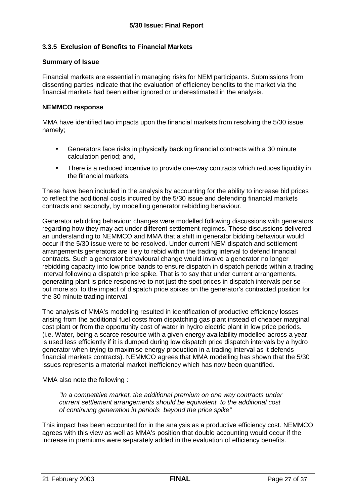## **3.3.5 Exclusion of Benefits to Financial Markets**

#### **Summary of Issue**

Financial markets are essential in managing risks for NEM participants. Submissions from dissenting parties indicate that the evaluation of efficiency benefits to the market via the financial markets had been either ignored or underestimated in the analysis.

#### **NEMMCO response**

MMA have identified two impacts upon the financial markets from resolving the 5/30 issue, namely;

- Generators face risks in physically backing financial contracts with a 30 minute calculation period; and,
- There is a reduced incentive to provide one-way contracts which reduces liquidity in the financial markets.

These have been included in the analysis by accounting for the ability to increase bid prices to reflect the additional costs incurred by the 5/30 issue and defending financial markets contracts and secondly, by modelling generator rebidding behaviour.

Generator rebidding behaviour changes were modelled following discussions with generators regarding how they may act under different settlement regimes. These discussions delivered an understanding to NEMMCO and MMA that a shift in generator bidding behaviour would occur if the 5/30 issue were to be resolved. Under current NEM dispatch and settlement arrangements generators are lilely to rebid within the trading interval to defend financial contracts. Such a generator behavioural change would involve a generator no longer rebidding capacity into low price bands to ensure dispatch in dispatch periods within a trading interval following a dispatch price spike. That is to say that under current arrangements, generating plant is price responsive to not just the spot prices in dispatch intervals per se – but more so, to the impact of dispatch price spikes on the generator's contracted position for the 30 minute trading interval.

The analysis of MMA's modelling resulted in identification of productive efficiency losses arising from the additional fuel costs from dispatching gas plant instead of cheaper marginal cost plant or from the opportunity cost of water in hydro electric plant in low price periods. (i.e. Water, being a scarce resource with a given energy availability modelled across a year, is used less efficiently if it is dumped during low dispatch price dispatch intervals by a hydro generator when trying to maximise energy production in a trading interval as it defends financial markets contracts). NEMMCO agrees that MMA modelling has shown that the 5/30 issues represents a material market inefficiency which has now been quantified.

MMA also note the following :

*"In a competitive market, the additional premium on one way contracts under current settlement arrangements should be equivalent to the additional cost of continuing generation in periods beyond the price spike"* 

This impact has been accounted for in the analysis as a productive efficiency cost. NEMMCO agrees with this view as well as MMA's position that double accounting would occur if the increase in premiums were separately added in the evaluation of efficiency benefits.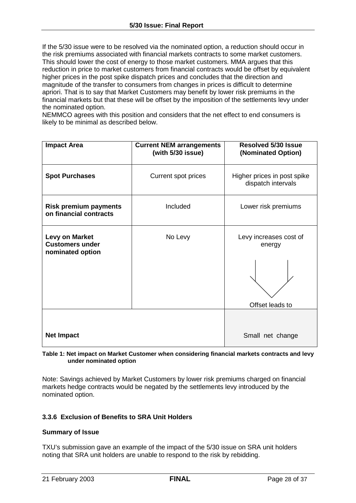If the 5/30 issue were to be resolved via the nominated option, a reduction should occur in the risk premiums associated with financial markets contracts to some market customers. This should lower the cost of energy to those market customers. MMA argues that this reduction in price to market customers from financial contracts would be offset by equivalent higher prices in the post spike dispatch prices and concludes that the direction and magnitude of the transfer to consumers from changes in prices is difficult to determine apriori. That is to say that Market Customers may benefit by lower risk premiums in the financial markets but that these will be offset by the imposition of the settlements levy under the nominated option.

NEMMCO agrees with this position and considers that the net effect to end consumers is likely to be minimal as described below.

| <b>Impact Area</b>                                                  | <b>Resolved 5/30 Issue</b><br><b>Current NEM arrangements</b><br>(with 5/30 issue)<br>(Nominated Option) |                                                   |
|---------------------------------------------------------------------|----------------------------------------------------------------------------------------------------------|---------------------------------------------------|
| <b>Spot Purchases</b>                                               | Current spot prices                                                                                      | Higher prices in post spike<br>dispatch intervals |
| <b>Risk premium payments</b><br>on financial contracts              | Included                                                                                                 | Lower risk premiums                               |
| <b>Levy on Market</b><br><b>Customers under</b><br>nominated option | No Levy                                                                                                  | Levy increases cost of<br>energy                  |
|                                                                     |                                                                                                          |                                                   |
|                                                                     |                                                                                                          | Offset leads to                                   |
|                                                                     |                                                                                                          |                                                   |
| <b>Net Impact</b>                                                   |                                                                                                          | Small net change                                  |

#### **Table 1: Net impact on Market Customer when considering financial markets contracts and levy under nominated option**

Note: Savings achieved by Market Customers by lower risk premiums charged on financial markets hedge contracts would be negated by the settlements levy introduced by the nominated option.

#### **3.3.6 Exclusion of Benefits to SRA Unit Holders**

#### **Summary of Issue**

TXU's submission gave an example of the impact of the 5/30 issue on SRA unit holders noting that SRA unit holders are unable to respond to the risk by rebidding.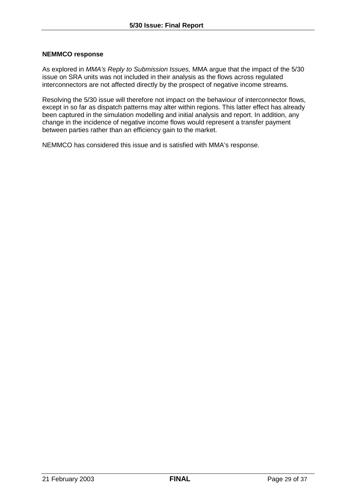#### **NEMMCO response**

As explored in *MMA's Reply to Submission Issues,* MMA argue that the impact of the 5/30 issue on SRA units was not included in their analysis as the flows across regulated interconnectors are not affected directly by the prospect of negative income streams.

Resolving the 5/30 issue will therefore not impact on the behaviour of interconnector flows, except in so far as dispatch patterns may alter within regions. This latter effect has already been captured in the simulation modelling and initial analysis and report. In addition, any change in the incidence of negative income flows would represent a transfer payment between parties rather than an efficiency gain to the market.

NEMMCO has considered this issue and is satisfied with MMA's response.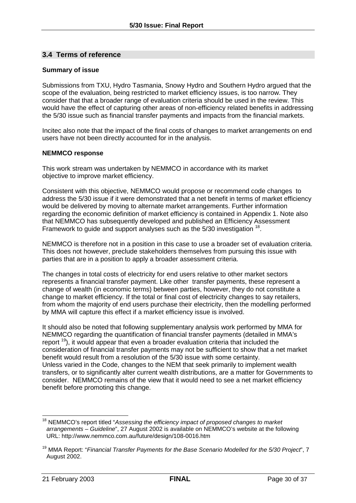## **3.4 Terms of reference**

#### **Summary of issue**

Submissions from TXU, Hydro Tasmania, Snowy Hydro and Southern Hydro argued that the scope of the evaluation, being restricted to market efficiency issues, is too narrow. They consider that that a broader range of evaluation criteria should be used in the review. This would have the effect of capturing other areas of non-efficiency related benefits in addressing the 5/30 issue such as financial transfer payments and impacts from the financial markets.

Incitec also note that the impact of the final costs of changes to market arrangements on end users have not been directly accounted for in the analysis.

#### **NEMMCO response**

This work stream was undertaken by NEMMCO in accordance with its market objective to improve market efficiency.

Consistent with this objective, NEMMCO would propose or recommend code changes to address the 5/30 issue if it were demonstrated that a net benefit in terms of market efficiency would be delivered by moving to alternate market arrangements. Further information regarding the economic definition of market efficiency is contained in Appendix 1. Note also that NEMMCO has subsequently developed and published an Efficiency Assessment Framework to quide and support analyses such as the 5/30 investigation <sup>18</sup>.

NEMMCO is therefore not in a position in this case to use a broader set of evaluation criteria. This does not however, preclude stakeholders themselves from pursuing this issue with parties that are in a position to apply a broader assessment criteria.

The changes in total costs of electricity for end users relative to other market sectors represents a financial transfer payment. Like other transfer payments, these represent a change of wealth (in economic terms) between parties, however, they do not constitute a change to market efficiency. If the total or final cost of electricity changes to say retailers, from whom the majority of end users purchase their electricity, then the modelling performed by MMA will capture this effect if a market efficiency issue is involved.

It should also be noted that following supplementary analysis work performed by MMA for NEMMCO regarding the quantification of financial transfer payments (detailed in MMA's report <sup>19</sup>), it would appear that even a broader evaluation criteria that included the consideration of financial transfer payments may not be sufficient to show that a net market benefit would result from a resolution of the 5/30 issue with some certainty. Unless varied in the Code, changes to the NEM that seek primarily to implement wealth transfers, or to significantly alter current wealth distributions, are a matter for Governments to consider. NEMMCO remains of the view that it would need to see a net market efficiency benefit before promoting this change.

<sup>18</sup> NEMMCO's report titled "*Assessing the efficiency impact of proposed changes to market arrangements – Guideline*", 27 August 2002 is available on NEMMCO's website at the following URL: http://www.nemmco.com.au/future/design/108-0016.htm

<sup>19</sup> MMA Report: "*Financial Transfer Payments for the Base Scenario Modelled for the 5/30 Project*", 7 August 2002.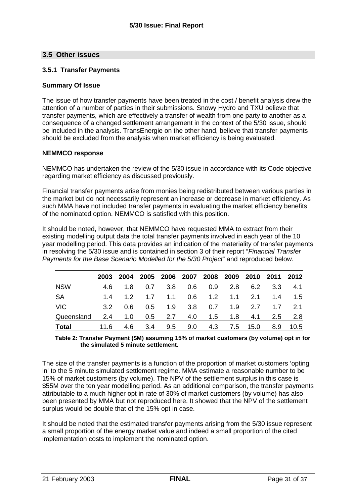## **3.5 Other issues**

## **3.5.1 Transfer Payments**

#### **Summary Of Issue**

The issue of how transfer payments have been treated in the cost / benefit analysis drew the attention of a number of parties in their submissions. Snowy Hydro and TXU believe that transfer payments, which are effectively a transfer of wealth from one party to another as a consequence of a changed settlement arrangement in the context of the 5/30 issue, should be included in the analysis. TransEnergie on the other hand, believe that transfer payments should be excluded from the analysis when market efficiency is being evaluated.

#### **NEMMCO response**

NEMMCO has undertaken the review of the 5/30 issue in accordance with its Code objective regarding market efficiency as discussed previously.

Financial transfer payments arise from monies being redistributed between various parties in the market but do not necessarily represent an increase or decrease in market efficiency. As such MMA have not included transfer payments in evaluating the market efficiency benefits of the nominated option. NEMMCO is satisfied with this position.

It should be noted, however, that NEMMCO have requested MMA to extract from their existing modelling output data the total transfer payments involved in each year of the 10 year modelling period. This data provides an indication of the materiality of transfer payments in resolving the 5/30 issue and is contained in section 3 of their report "*Financial Transfer Payments for the Base Scenario Modelled for the 5/30 Project*" and reproduced below.

|              | 2003 |     |  | 2004 2005 2006 2007 2008 2009 2010 2011 2012 |  |     |     |
|--------------|------|-----|--|----------------------------------------------|--|-----|-----|
| <b>NSW</b>   | 4.6  |     |  | 1.8 0.7 3.8 0.6 0.9 2.8 6.2 3.3 4.1          |  |     |     |
| <b>SA</b>    |      |     |  |                                              |  | 1.4 | 1.5 |
| <b>VIC</b>   | 3.2  | 0.6 |  | 0.5 1.9 3.8 0.7 1.9 2.7 1.7 2.1              |  |     |     |
| Queensland   |      |     |  | 2.4 1.0 0.5 2.7 4.0 1.5 1.8 4.1 2.5 2.8      |  |     |     |
| <b>Total</b> |      |     |  | 11.6 4.6 3.4 9.5 9.0 4.3 7.5 15.0 8.9 10.5   |  |     |     |

#### **Table 2: Transfer Payment (\$M) assuming 15% of market customers (by volume) opt in for the simulated 5 minute settlement.**

The size of the transfer payments is a function of the proportion of market customers 'opting in' to the 5 minute simulated settlement regime. MMA estimate a reasonable number to be 15% of market customers (by volume). The NPV of the settlement surplus in this case is \$55M over the ten year modelling period. As an additional comparison, the transfer payments attributable to a much higher opt in rate of 30% of market customers (by volume) has also been presented by MMA but not reproduced here. It showed that the NPV of the settlement surplus would be double that of the 15% opt in case.

It should be noted that the estimated transfer payments arising from the 5/30 issue represent a small proportion of the energy market value and indeed a small proportion of the cited implementation costs to implement the nominated option.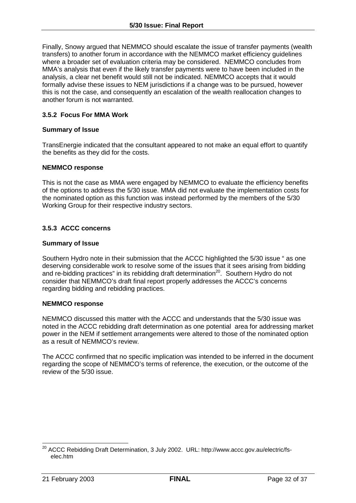Finally, Snowy argued that NEMMCO should escalate the issue of transfer payments (wealth transfers) to another forum in accordance with the NEMMCO market efficiency guidelines where a broader set of evaluation criteria may be considered. NEMMCO concludes from MMA's analysis that even if the likely transfer payments were to have been included in the analysis, a clear net benefit would still not be indicated. NEMMCO accepts that it would formally advise these issues to NEM jurisdictions if a change was to be pursued, however this is not the case, and consequently an escalation of the wealth reallocation changes to another forum is not warranted.

## **3.5.2 Focus For MMA Work**

#### **Summary of Issue**

TransEnergie indicated that the consultant appeared to not make an equal effort to quantify the benefits as they did for the costs.

#### **NEMMCO response**

This is not the case as MMA were engaged by NEMMCO to evaluate the efficiency benefits of the options to address the 5/30 issue. MMA did not evaluate the implementation costs for the nominated option as this function was instead performed by the members of the 5/30 Working Group for their respective industry sectors.

#### **3.5.3 ACCC concerns**

#### **Summary of Issue**

Southern Hydro note in their submission that the ACCC highlighted the 5/30 issue " as one deserving considerable work to resolve some of the issues that it sees arising from bidding and re-bidding practices" in its rebidding draft determination<sup>20</sup>. Southern Hydro do not consider that NEMMCO's draft final report properly addresses the ACCC's concerns regarding bidding and rebidding practices.

#### **NEMMCO response**

NEMMCO discussed this matter with the ACCC and understands that the 5/30 issue was noted in the ACCC rebidding draft determination as one potential area for addressing market power in the NEM if settlement arrangements were altered to those of the nominated option as a result of NEMMCO's review.

The ACCC confirmed that no specific implication was intended to be inferred in the document regarding the scope of NEMMCO's terms of reference, the execution, or the outcome of the review of the 5/30 issue.

 <sup>20</sup> ACCC Rebidding Draft Determination, 3 July 2002. URL: http://www.accc.gov.au/electric/fselec.htm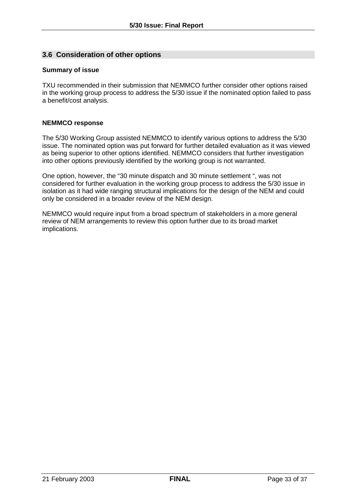## **3.6 Consideration of other options**

#### **Summary of issue**

TXU recommended in their submission that NEMMCO further consider other options raised in the working group process to address the 5/30 issue if the nominated option failed to pass a benefit/cost analysis.

#### **NEMMCO response**

The 5/30 Working Group assisted NEMMCO to identify various options to address the 5/30 issue. The nominated option was put forward for further detailed evaluation as it was viewed as being superior to other options identified. NEMMCO considers that further investigation into other options previously identified by the working group is not warranted.

One option, however, the "30 minute dispatch and 30 minute settlement ", was not considered for further evaluation in the working group process to address the 5/30 issue in isolation as it had wide ranging structural implications for the design of the NEM and could only be considered in a broader review of the NEM design.

NEMMCO would require input from a broad spectrum of stakeholders in a more general review of NEM arrangements to review this option further due to its broad market implications.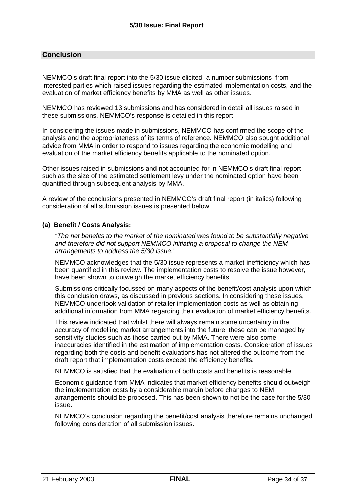## **Conclusion**

NEMMCO's draft final report into the 5/30 issue elicited a number submissions from interested parties which raised issues regarding the estimated implementation costs, and the evaluation of market efficiency benefits by MMA as well as other issues.

NEMMCO has reviewed 13 submissions and has considered in detail all issues raised in these submissions. NEMMCO's response is detailed in this report

In considering the issues made in submissions, NEMMCO has confirmed the scope of the analysis and the appropriateness of its terms of reference. NEMMCO also sought additional advice from MMA in order to respond to issues regarding the economic modelling and evaluation of the market efficiency benefits applicable to the nominated option.

Other issues raised in submissions and not accounted for in NEMMCO's draft final report such as the size of the estimated settlement levy under the nominated option have been quantified through subsequent analysis by MMA.

A review of the conclusions presented in NEMMCO's draft final report (in italics) following consideration of all submission issues is presented below.

#### **(a) Benefit / Costs Analysis:**

*"The net benefits to the market of the nominated was found to be substantially negative and therefore did not support NEMMCO initiating a proposal to change the NEM arrangements to address the 5/30 issue."* 

NEMMCO acknowledges that the 5/30 issue represents a market inefficiency which has been quantified in this review. The implementation costs to resolve the issue however, have been shown to outweigh the market efficiency benefits.

Submissions critically focussed on many aspects of the benefit/cost analysis upon which this conclusion draws, as discussed in previous sections. In considering these issues, NEMMCO undertook validation of retailer implementation costs as well as obtaining additional information from MMA regarding their evaluation of market efficiency benefits.

This review indicated that whilst there will always remain some uncertainty in the accuracy of modelling market arrangements into the future, these can be managed by sensitivity studies such as those carried out by MMA. There were also some inaccuracies identified in the estimation of implementation costs. Consideration of issues regarding both the costs and benefit evaluations has not altered the outcome from the draft report that implementation costs exceed the efficiency benefits.

NEMMCO is satisfied that the evaluation of both costs and benefits is reasonable.

Economic guidance from MMA indicates that market efficiency benefits should outweigh the implementation costs by a considerable margin before changes to NEM arrangements should be proposed. This has been shown to not be the case for the 5/30 issue.

NEMMCO's conclusion regarding the benefit/cost analysis therefore remains unchanged following consideration of all submission issues.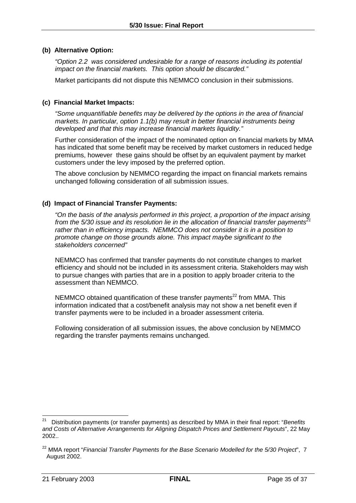#### **(b) Alternative Option:**

*"Option 2.2 was considered undesirable for a range of reasons including its potential impact on the financial markets. This option should be discarded."* 

Market participants did not dispute this NEMMCO conclusion in their submissions.

## **(c) Financial Market Impacts:**

*"Some unquantifiable benefits may be delivered by the options in the area of financial markets. In particular, option 1.1(b) may result in better financial instruments being developed and that this may increase financial markets liquidity."* 

Further consideration of the impact of the nominated option on financial markets by MMA has indicated that some benefit may be received by market customers in reduced hedge premiums, however these gains should be offset by an equivalent payment by market customers under the levy imposed by the preferred option.

The above conclusion by NEMMCO regarding the impact on financial markets remains unchanged following consideration of all submission issues.

#### **(d) Impact of Financial Transfer Payments:**

*"On the basis of the analysis performed in this project, a proportion of the impact arising from the 5/30 issue and its resolution lie in the allocation of financial transfer payments<sup>21</sup> rather than in efficiency impacts. NEMMCO does not consider it is in a position to promote change on those grounds alone. This impact maybe significant to the stakeholders concerned"* 

NEMMCO has confirmed that transfer payments do not constitute changes to market efficiency and should not be included in its assessment criteria. Stakeholders may wish to pursue changes with parties that are in a position to apply broader criteria to the assessment than NEMMCO.

NEMMCO obtained quantification of these transfer payments<sup>22</sup> from MMA. This information indicated that a cost/benefit analysis may not show a net benefit even if transfer payments were to be included in a broader assessment criteria.

Following consideration of all submission issues, the above conclusion by NEMMCO regarding the transfer payments remains unchanged.

 $21$ 21 Distribution payments (or transfer payments) as described by MMA in their final report: "*Benefits and Costs of Alternative Arrangements for Aligning Dispatch Prices and Settlement Payouts*", 22 May 2002..

<sup>&</sup>lt;sup>22</sup> MMA report "Financial Transfer Payments for the Base Scenario Modelled for the 5/30 Project", 7 August 2002.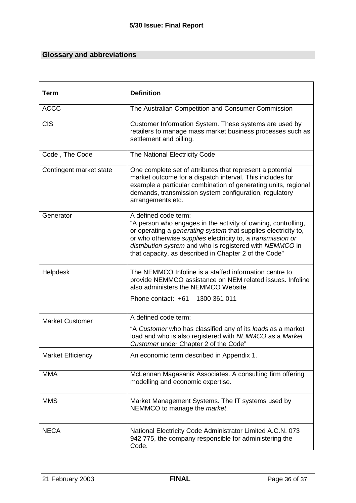## **Glossary and abbreviations**

| <b>Term</b>              | <b>Definition</b>                                                                                                                                                                                                                                                                                                                                  |  |  |  |
|--------------------------|----------------------------------------------------------------------------------------------------------------------------------------------------------------------------------------------------------------------------------------------------------------------------------------------------------------------------------------------------|--|--|--|
| <b>ACCC</b>              | The Australian Competition and Consumer Commission                                                                                                                                                                                                                                                                                                 |  |  |  |
| <b>CIS</b>               | Customer Information System. These systems are used by<br>retailers to manage mass market business processes such as<br>settlement and billing.                                                                                                                                                                                                    |  |  |  |
| Code, The Code           | The National Electricity Code                                                                                                                                                                                                                                                                                                                      |  |  |  |
| Contingent market state  | One complete set of attributes that represent a potential<br>market outcome for a dispatch interval. This includes for<br>example a particular combination of generating units, regional<br>demands, transmission system configuration, regulatory<br>arrangements etc.                                                                            |  |  |  |
| Generator                | A defined code term:<br>"A person who engages in the activity of owning, controlling,<br>or operating a <i>generating system</i> that supplies electricity to,<br>or who otherwise supplies electricity to, a transmission or<br>distribution system and who is registered with NEMMCO in<br>that capacity, as described in Chapter 2 of the Code" |  |  |  |
| Helpdesk                 | The NEMMCO Infoline is a staffed information centre to<br>provide NEMMCO assistance on NEM related issues. Infoline<br>also administers the NEMMCO Website.                                                                                                                                                                                        |  |  |  |
|                          | Phone contact: +61 1300 361 011                                                                                                                                                                                                                                                                                                                    |  |  |  |
| <b>Market Customer</b>   | A defined code term:                                                                                                                                                                                                                                                                                                                               |  |  |  |
|                          | "A Customer who has classified any of its loads as a market<br>load and who is also registered with NEMMCO as a Market<br>Customer under Chapter 2 of the Code"                                                                                                                                                                                    |  |  |  |
| <b>Market Efficiency</b> | An economic term described in Appendix 1.                                                                                                                                                                                                                                                                                                          |  |  |  |
| <b>MMA</b>               | McLennan Magasanik Associates. A consulting firm offering<br>modelling and economic expertise.                                                                                                                                                                                                                                                     |  |  |  |
| <b>MMS</b>               | Market Management Systems. The IT systems used by<br>NEMMCO to manage the <i>market</i> .                                                                                                                                                                                                                                                          |  |  |  |
| <b>NECA</b>              | National Electricity Code Administrator Limited A.C.N. 073<br>942 775, the company responsible for administering the<br>Code.                                                                                                                                                                                                                      |  |  |  |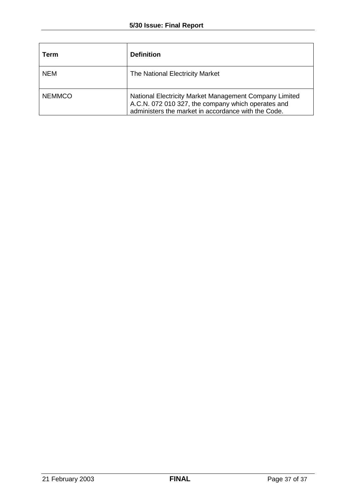| Term          | <b>Definition</b>                                                                                                                                                   |
|---------------|---------------------------------------------------------------------------------------------------------------------------------------------------------------------|
| <b>NEM</b>    | The National Electricity Market                                                                                                                                     |
| <b>NEMMCO</b> | National Electricity Market Management Company Limited<br>A.C.N. 072 010 327, the company which operates and<br>administers the market in accordance with the Code. |